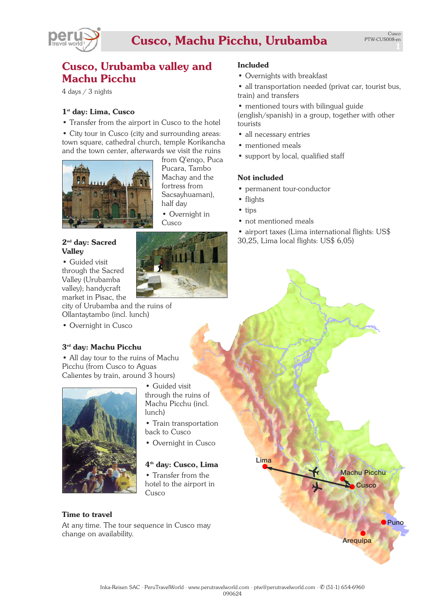

# **Cusco, Machu Picchu, Urubamba**

# **Cusco, Urubamba valley and Machu Picchu**

4 days / 3 nights

### **1st day: Lima, Cusco**

• Transfer from the airport in Cusco to the hotel

• City tour in Cusco (city and surrounding areas: town square, cathedral church, temple Korikancha and the town center, afterwards we visit the ruins



from Q'enqo, Puca Pucara, Tambo Machay and the fortress from Sacsayhuaman), half day

• Overnight in Cusco

## **2nd day: Sacred Valley**

#### • Guided visit through the Sacred Valley (Urubamba valley); handycraft market in Pisac, the

city of Urubamba and the ruins of Ollantaytambo (incl. lunch)

• Overnight in Cusco

# **3rd day: Machu Picchu**

• All day tour to the ruins of Machu Picchu (from Cusco to Aguas Calientes by train, around 3 hours)



- Guided visit through the ruins of Machu Picchu (incl. lunch)
- Train transportation back to Cusco
- Overnight in Cusco

# **4th day: Cusco, Lima**

• Transfer from the hotel to the airport in Cusco

## **Time to travel**

At any time. The tour sequence in Cusco may change on availability.

## **Included**

• Overnights with breakfast

• all transportation needed (privat car, tourist bus, train) and transfers

- mentioned tours with bilingual guide (english/spanish) in a group, together with other tourists
- all necessary entries
- mentioned meals
- support by local, qualified staff

### **Not included**

- permanent tour-conductor
- flights
- tips
- not mentioned meals
- airport taxes (Lima international flights: US\$ 30,25, Lima local flights: US\$ 6,05)

**Machu Picchu**

**Cusco**

**Puno**

**Arequipa**

**Lima**